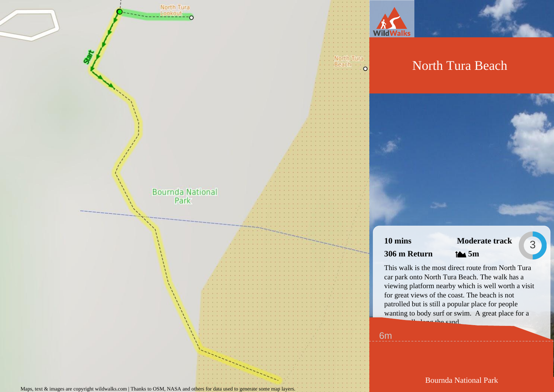